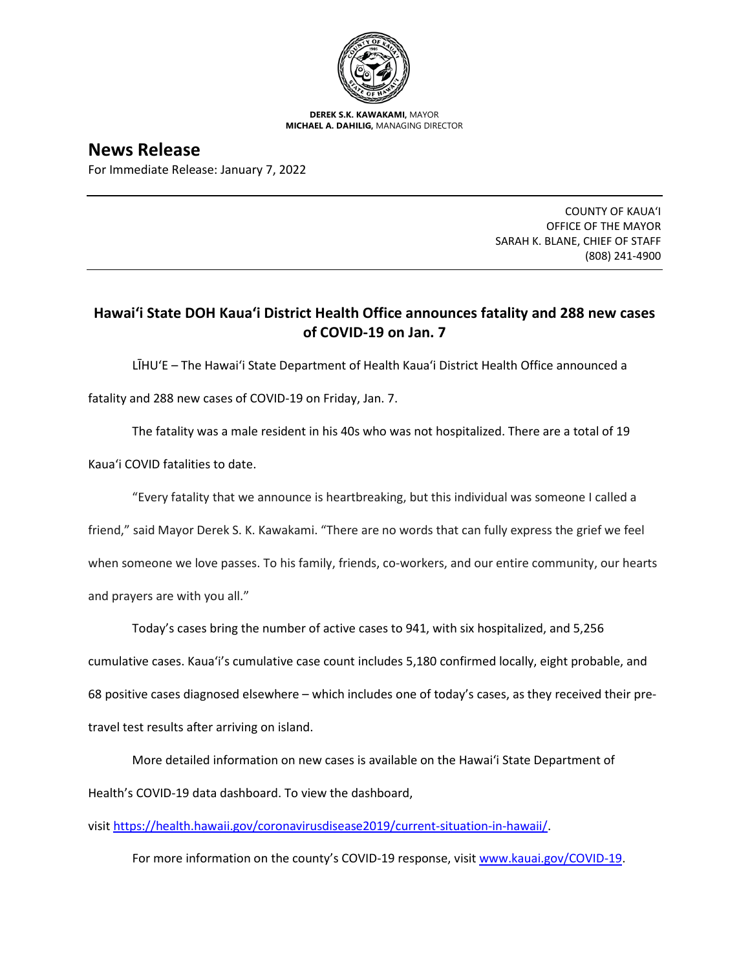

**DEREK S.K. KAWAKAMI,** MAYOR **MICHAEL A. DAHILIG,** MANAGING DIRECTOR

**News Release** For Immediate Release: January 7, 2022

> COUNTY OF KAUA'I OFFICE OF THE MAYOR SARAH K. BLANE, CHIEF OF STAFF (808) 241-4900

## **Hawai'i State DOH Kaua'i District Health Office announces fatality and 288 new cases of COVID-19 on Jan. 7**

LĪHU'E – The Hawai'i State Department of Health Kaua'i District Health Office announced a fatality and 288 new cases of COVID-19 on Friday, Jan. 7.

The fatality was a male resident in his 40s who was not hospitalized. There are a total of 19 Kaua'i COVID fatalities to date.

"Every fatality that we announce is heartbreaking, but this individual was someone I called a

friend," said Mayor Derek S. K. Kawakami. "There are no words that can fully express the grief we feel when someone we love passes. To his family, friends, co-workers, and our entire community, our hearts and prayers are with you all."

Today's cases bring the number of active cases to 941, with six hospitalized, and 5,256 cumulative cases. Kaua'i's cumulative case count includes 5,180 confirmed locally, eight probable, and 68 positive cases diagnosed elsewhere – which includes one of today's cases, as they received their pretravel test results after arriving on island.

More detailed information on new cases is available on the Hawai'i State Department of Health's COVID-19 data dashboard. To view the dashboard,

visit [https://health.hawaii.gov/coronavirusdisease2019/current-situation-in-hawaii/.](https://health.hawaii.gov/coronavirusdisease2019/current-situation-in-hawaii/)

For more information on the county's COVID-19 response, visit [www.kauai.gov/COVID-19.](https://urldefense.com/v3/__http:/www.kauai.gov/COVID-19__;!!LIYSdFfckKA!l4A5nHuw73q2ubt1jVfVpBxrgAoeT-qm9LHA2X0eDo7DmU1d8EztTez1J2SRjWo05uCKvMiUtA$)